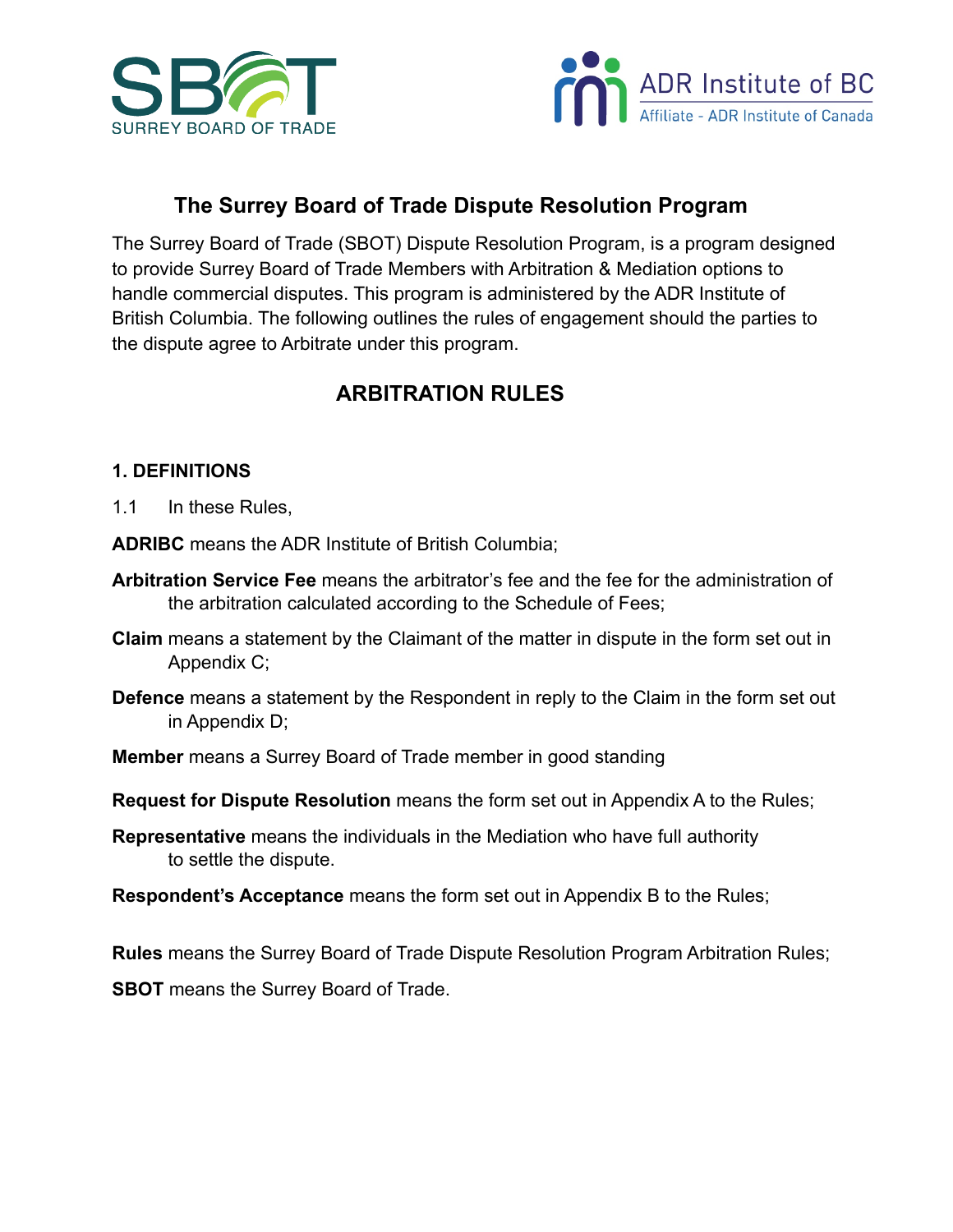



# **The Surrey Board of Trade Dispute Resolution Program**

The Surrey Board of Trade (SBOT) Dispute Resolution Program, is a program designed to provide Surrey Board of Trade Members with Arbitration & Mediation options to handle commercial disputes. This program is administered by the ADR Institute of British Columbia. The following outlines the rules of engagement should the parties to the dispute agree to Arbitrate under this program.

# **ARBITRATION RULES**

#### **1. DEFINITIONS**

1.1 In these Rules,

**ADRIBC** means the ADR Institute of British Columbia;

- **Arbitration Service Fee** means the arbitrator's fee and the fee for the administration of the arbitration calculated according to the Schedule of Fees;
- **Claim** means a statement by the Claimant of the matter in dispute in the form set out in Appendix C;
- **Defence** means a statement by the Respondent in reply to the Claim in the form set out in Appendix D;
- **Member** means a Surrey Board of Trade member in good standing
- **Request for Dispute Resolution** means the form set out in Appendix A to the Rules;
- **Representative** means the individuals in the Mediation who have full authority to settle the dispute.
- **Respondent's Acceptance** means the form set out in Appendix B to the Rules;

**Rules** means the Surrey Board of Trade Dispute Resolution Program Arbitration Rules; **SBOT** means the Surrey Board of Trade.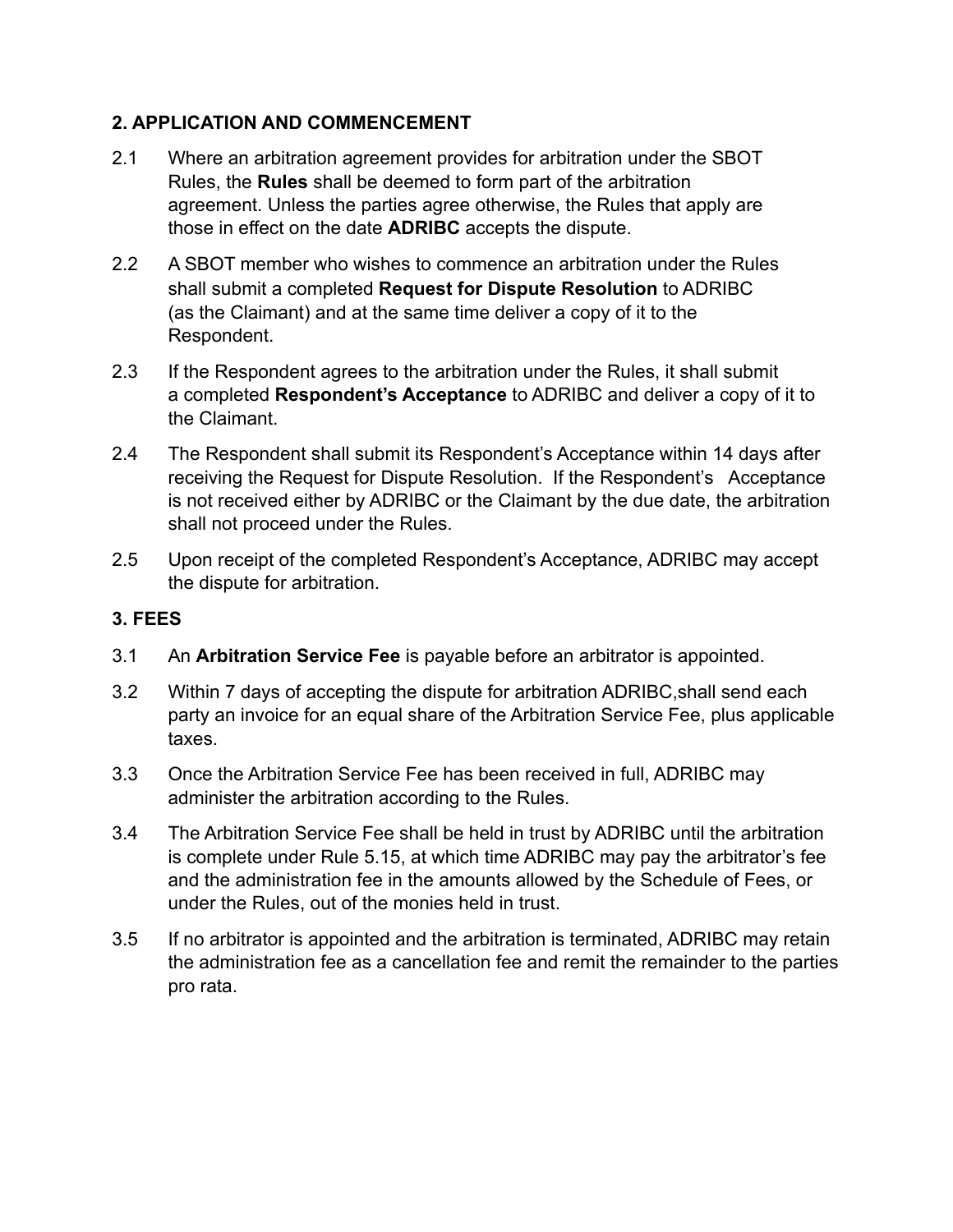## **2. APPLICATION AND COMMENCEMENT**

- 2.1Where an arbitration agreement provides for arbitration under the SBOT Rules, the **Rules** shall be deemed to form part of the arbitration agreement. Unless the parties agree otherwise, the Rules that apply are those in effect on the date **ADRIBC** accepts the dispute.
- 2.2 A SBOT member who wishes to commence an arbitration under the Rules shall submit a completed **Request for Dispute Resolution** to ADRIBC (as the Claimant) and at the same time deliver a copy of it to the Respondent.
- 2.3 If the Respondent agrees to the arbitration under the Rules, it shall submit a completed **Respondent's Acceptance** to ADRIBC and deliver a copy of it to the Claimant.
- 2.4 The Respondent shall submit its Respondent's Acceptance within 14 days after receiving the Request for Dispute Resolution. If the Respondent's Acceptance is not received either by ADRIBC or the Claimant by the due date, the arbitration shall not proceed under the Rules.
- 2.5 Upon receipt of the completed Respondent's Acceptance, ADRIBC may accept the dispute for arbitration.

# **3. FEES**

- 3.1 An **Arbitration Service Fee** is payable before an arbitrator is appointed.
- 3.2 Within 7 days of accepting the dispute for arbitration ADRIBC,shall send each party an invoice for an equal share of the Arbitration Service Fee, plus applicable taxes.
- 3.3 Once the Arbitration Service Fee has been received in full, ADRIBC may administer the arbitration according to the Rules.
- 3.4 The Arbitration Service Fee shall be held in trust by ADRIBC until the arbitration is complete under Rule 5.15, at which time ADRIBC may pay the arbitrator's fee and the administration fee in the amounts allowed by the Schedule of Fees, or under the Rules, out of the monies held in trust.
- 3.5 If no arbitrator is appointed and the arbitration is terminated, ADRIBC may retain the administration fee as a cancellation fee and remit the remainder to the parties pro rata.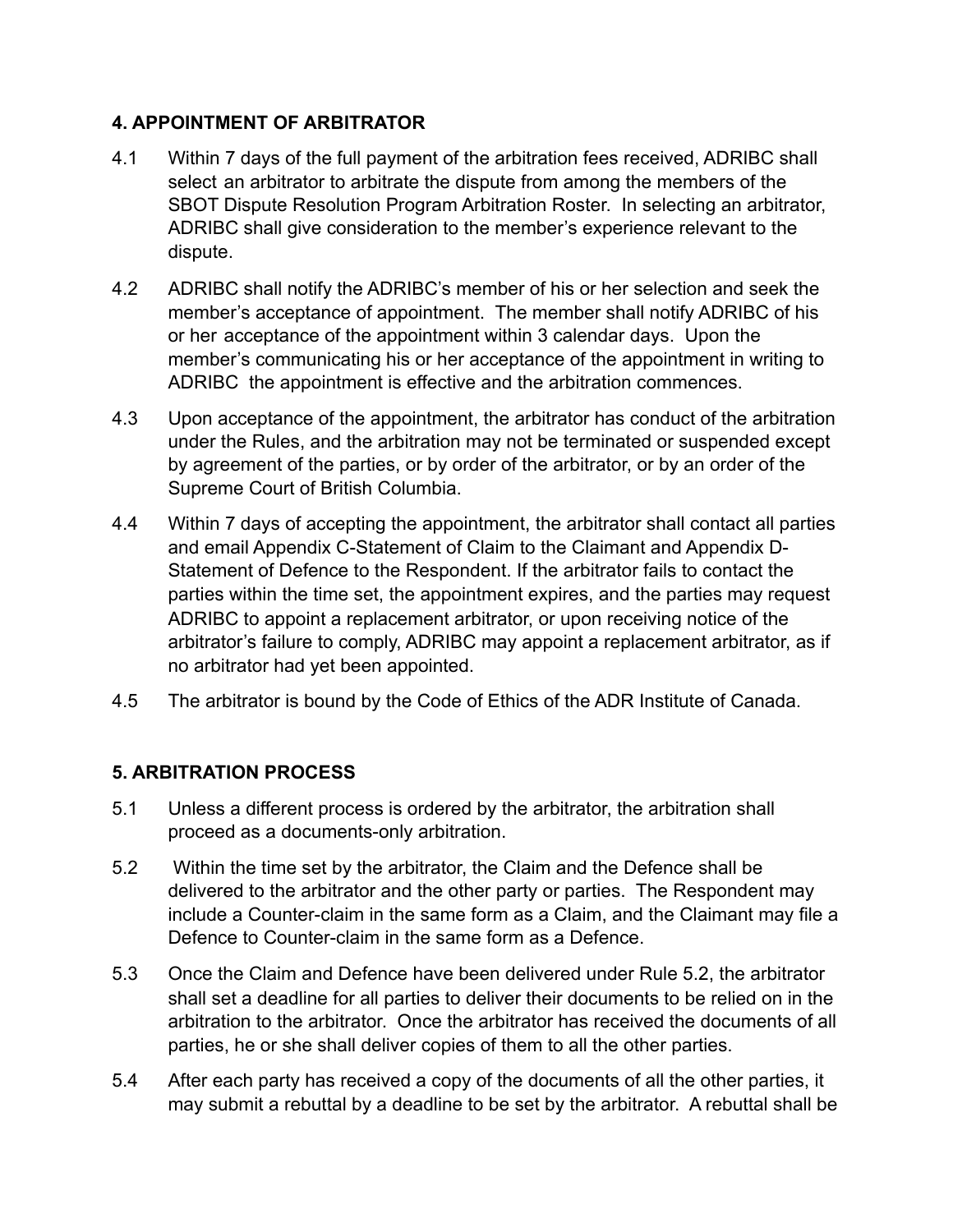## **4. APPOINTMENT OF ARBITRATOR**

- 4.1 Within 7 days of the full payment of the arbitration fees received, ADRIBC shall select an arbitrator to arbitrate the dispute from among the members of the SBOT Dispute Resolution Program Arbitration Roster. In selecting an arbitrator, ADRIBC shall give consideration to the member's experience relevant to the dispute.
- 4.2 ADRIBC shall notify the ADRIBC's member of his or her selection and seek the member's acceptance of appointment. The member shall notify ADRIBC of his or her acceptance of the appointment within 3 calendar days. Upon the member's communicating his or her acceptance of the appointment in writing to ADRIBC the appointment is effective and the arbitration commences.
- 4.3 Upon acceptance of the appointment, the arbitrator has conduct of the arbitration under the Rules, and the arbitration may not be terminated or suspended except by agreement of the parties, or by order of the arbitrator, or by an order of the Supreme Court of British Columbia.
- 4.4 Within 7 days of accepting the appointment, the arbitrator shall contact all parties and email Appendix C-Statement of Claim to the Claimant and Appendix D- Statement of Defence to the Respondent. If the arbitrator fails to contact the parties within the time set, the appointment expires, and the parties may request ADRIBC to appoint a replacement arbitrator, or upon receiving notice of the arbitrator's failure to comply, ADRIBC may appoint a replacement arbitrator, as if no arbitrator had yet been appointed.
- 4.5 The arbitrator is bound by the Code of Ethics of the ADR Institute of Canada.

# **5. ARBITRATION PROCESS**

- 5.1 Unless a different process is ordered by the arbitrator, the arbitration shall proceed as a documents-only arbitration.
- 5.2 Within the time set by the arbitrator, the Claim and the Defence shall be delivered to the arbitrator and the other party or parties. The Respondent may include a Counter-claim in the same form as a Claim, and the Claimant may file a Defence to Counter-claim in the same form as a Defence.
- 5.3 Once the Claim and Defence have been delivered under Rule 5.2, the arbitrator shall set a deadline for all parties to deliver their documents to be relied on in the arbitration to the arbitrator. Once the arbitrator has received the documents of all parties, he or she shall deliver copies of them to all the other parties.
- 5.4 After each party has received a copy of the documents of all the other parties, it may submit a rebuttal by a deadline to be set by the arbitrator. A rebuttal shall be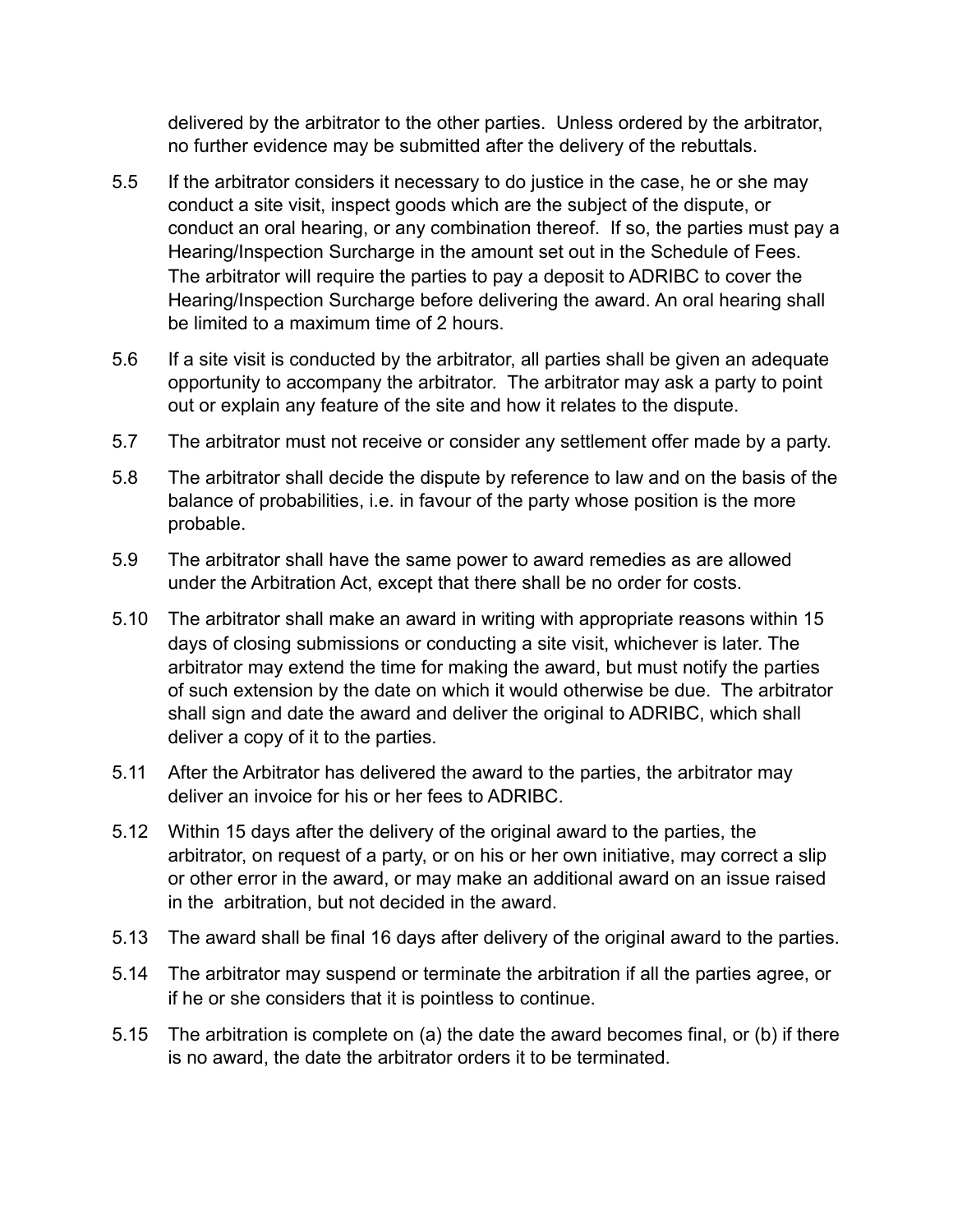delivered by the arbitrator to the other parties. Unless ordered by the arbitrator, no further evidence may be submitted after the delivery of the rebuttals.

- 5.5 If the arbitrator considers it necessary to do justice in the case, he or she may conduct a site visit, inspect goods which are the subject of the dispute, or conduct an oral hearing, or any combination thereof. If so, the parties must pay a Hearing/Inspection Surcharge in the amount set out in the Schedule of Fees. The arbitrator will require the parties to pay a deposit to ADRIBC to cover the Hearing/Inspection Surcharge before delivering the award. An oral hearing shall be limited to a maximum time of 2 hours.
- 5.6 If a site visit is conducted by the arbitrator, all parties shall be given an adequate opportunity to accompany the arbitrator. The arbitrator may ask a party to point out or explain any feature of the site and how it relates to the dispute.
- 5.7 The arbitrator must not receive or consider any settlement offer made by a party.
- 5.8 The arbitrator shall decide the dispute by reference to law and on the basis of the balance of probabilities, i.e. in favour of the party whose position is the more probable.
- 5.9 The arbitrator shall have the same power to award remedies as are allowed under the Arbitration Act, except that there shall be no order for costs.
- 5.10 The arbitrator shall make an award in writing with appropriate reasons within 15 days of closing submissions or conducting a site visit, whichever is later. The arbitrator may extend the time for making the award, but must notify the parties of such extension by the date on which it would otherwise be due. The arbitrator shall sign and date the award and deliver the original to ADRIBC, which shall deliver a copy of it to the parties.
- 5.11 After the Arbitrator has delivered the award to the parties, the arbitrator may deliver an invoice for his or her fees to ADRIBC.
- 5.12 Within 15 days after the delivery of the original award to the parties, the arbitrator, on request of a party, or on his or her own initiative, may correct a slip or other error in the award, or may make an additional award on an issue raised in the arbitration, but not decided in the award.
- 5.13 The award shall be final 16 days after delivery of the original award to the parties.
- 5.14 The arbitrator may suspend or terminate the arbitration if all the parties agree, or if he or she considers that it is pointless to continue.
- 5.15 The arbitration is complete on (a) the date the award becomes final, or (b) if there is no award, the date the arbitrator orders it to be terminated.